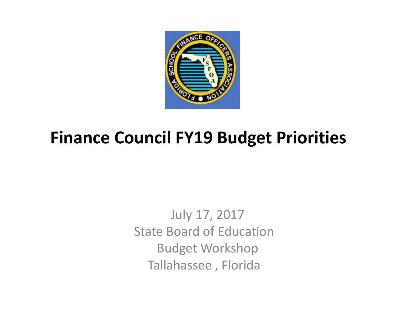

# **Finance Council FY19 Budget Priorities**

July 17, 2017 State Board of Education Budget Workshop Tallahassee , Florida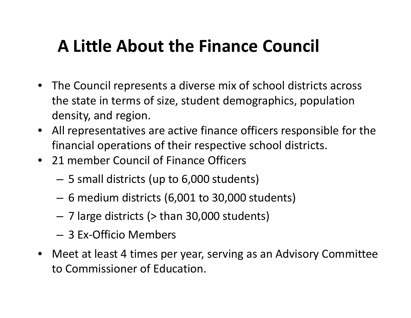# **A Little About the Finance Council**

- The Council represents <sup>a</sup> diverse mix of school districts across the state in terms of size, student demographics, population density, and region.
- All representatives are active finance officers responsible for the financial operations of their respective school districts.
- 21 member Council of Finance Officers
	- 5 small districts (up to 6,000 students)
	- 6 medium districts (6,001 to 30,000 students)
	- 7 large districts (> than 30,000 students)
	- 3 Ex‐Officio Members
- Meet at least 4 times per year, serving as an Advisory Committee to Commissioner of Education.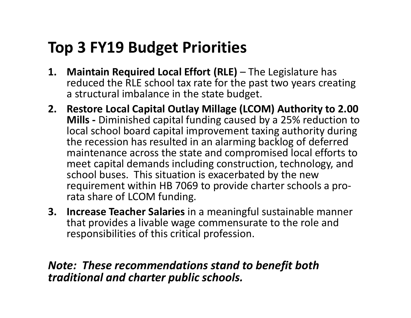# **Top 3 FY19 Budget Priorities**

- **1. Maintain Required Local Effort (RLE)** The Legislature has reduced the RLE school tax rate for the past two years creating a structural imbalance in the state budget.
- **2. Restore Local Capital Outlay Millage (LCOM) Authority to 2.00 Mills ‐** Diminished capital funding caused by <sup>a</sup> 25% reduction to local school board capital improvement taxing authority during the recession has resulted in an alarming backlog of deferred maintenance across the state and compromised local efforts to meet capital demands including construction, technology, and school buses. This situation is exacerbated by the new requirement within HB 7069 to provide charter schools <sup>a</sup> pro‐ rata share of LCOM funding.
- **3. Increase Teacher Salaries** in <sup>a</sup> meaningful sustainable manner that provides <sup>a</sup> livable wage commensurate to the role and responsibilities of this critical profession.

#### *Note: These recommendations stand to benefit both traditional and charter public schools.*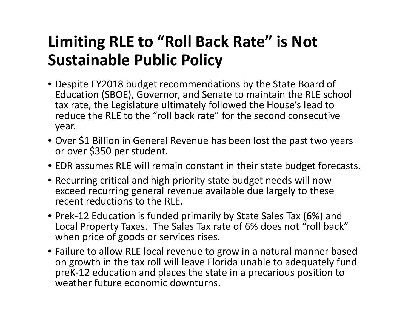# **Limiting RLE to "Roll Back Rate" is Not Sustainable Public Policy**

- Despite FY2018 budget recommendations by the State Board of Education (SBOE), Governor, and Senate to maintain the RLE school tax rate, the Legislature ultimately followed the House's lead to reduce the RLE to the "roll back rate" for the second consecutive year.
- Over \$1 Billion in General Revenue has been lost the past two years or over \$350 per student.
- EDR assumes RLE will remain constant in their state budget forecasts.
- Recurring critical and high priority state budget needs will now exceed recurring general revenue available due largely to these recent reductions to the RLE.
- Prek‐12 Education is funded primarily by State Sales Tax (6%) and Local Property Taxes. The Sales Tax rate of 6% does not "roll back" when price of goods or services rises.
- Failure to allow RLE local revenue to grow in <sup>a</sup> natural manner based on growth in the tax roll will leave Florida unable to adequately fund preK‐12 education and places the state in <sup>a</sup> precarious position to weather future economic downturns.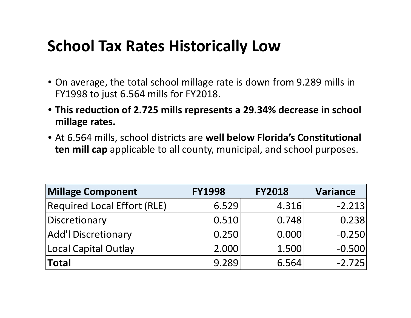### **School Tax Rates Historically Low**

- On average, the total school millage rate is down from 9.289 mills in FY1998 to just 6.564 mills for FY2018.
- **This reduction of 2.725 mills represents <sup>a</sup> 29.34% decrease in school millage rates.**
- At 6.564 mills, school districts are **well below Florida's Constitutional ten mill cap** applicable to all county, municipal, and school purposes.

| <b>Millage Component</b>           | <b>FY1998</b> | <b>FY2018</b> | <b>Variance</b> |  |  |
|------------------------------------|---------------|---------------|-----------------|--|--|
| <b>Required Local Effort (RLE)</b> | 6.529         | 4.316         | $-2.213$        |  |  |
| Discretionary                      | 0.510         | 0.748         | 0.238           |  |  |
| <b>Add'l Discretionary</b>         | 0.250         | 0.000         | $-0.250$        |  |  |
| Local Capital Outlay               | 2.000         | 1.500         | $-0.500$        |  |  |
| <b>Total</b>                       | 9.289         | 6.564         | $-2.725$        |  |  |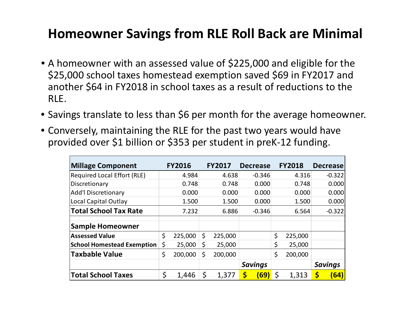### **Homeowner Savings from RLE Roll Back are Minimal**

- A homeowner with an assessed value of \$225,000 and eligible for the \$25,000 school taxes homestead exemption saved \$69 in FY2017 and another \$64 in FY2018 in school taxes as <sup>a</sup> result of reductions to the RLE.
- Savings translate to less than \$6 per month for the average homeowner.
- Conversely, maintaining the RLE for the past two years would have provided over \$1 billion or \$353 per student in preK‐<sup>12</sup> funding.

| <b>Millage Component</b>           | <b>FY2016</b> |    | <b>FY2017</b> | <b>Decrease</b>   |       | <b>FY2018</b>  |       | <b>Decrease</b> |
|------------------------------------|---------------|----|---------------|-------------------|-------|----------------|-------|-----------------|
| <b>Required Local Effort (RLE)</b> | 4.984         |    | 4.638         | $-0.346$          |       | 4.316          |       | $-0.322$        |
| Discretionary                      | 0.748         |    | 0.748         | 0.000             |       | 0.748          | 0.000 |                 |
| <b>Add'l Discretionary</b>         | 0.000         |    | 0.000         | 0.000             | 0.000 |                |       | 0.000           |
| Local Capital Outlay               | 1.500         |    | 1.500         | 0.000             | 1.500 |                |       | 0.000           |
| <b>Total School Tax Rate</b>       | 7.232         |    | 6.886         | $-0.346$          |       | 6.564          |       | $-0.322$        |
| <b>Sample Homeowner</b>            |               |    |               |                   |       |                |       |                 |
| <b>Assessed Value</b>              | \$<br>225,000 | \$ | 225,000       |                   | \$    | 225,000        |       |                 |
| <b>School Homestead Exemption</b>  | \$<br>25,000  | \$ | 25,000        |                   | \$    | 25,000         |       |                 |
| <b>Taxbable Value</b>              | \$<br>200,000 | \$ | 200,000       |                   | \$    | 200,000        |       |                 |
|                                    |               |    |               | <b>Savings</b>    |       | <b>Savings</b> |       |                 |
| <b>Total School Taxes</b>          | \$<br>1,446   | \$ | 1,377         | \$<br><b>(69)</b> | \$    | 1,313          | S     | (64)            |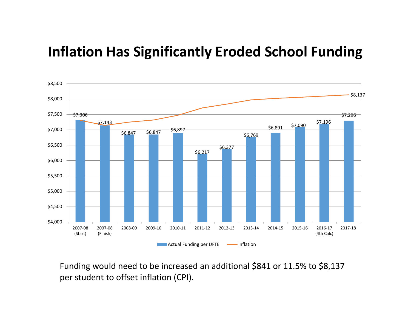### **Inflation Has Significantly Eroded School Funding**



Funding would need to be increased an additional \$841 or 11.5% to \$8,137 per student to offset inflation (CPI).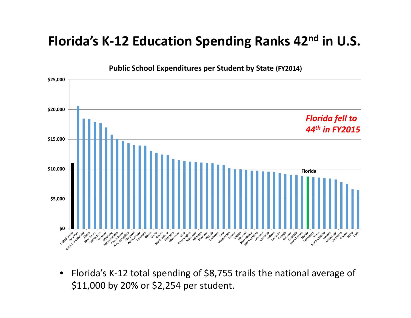#### **Florida's K‐12 Education Spending Ranks 42n<sup>d</sup> in U.S.**



 $\bullet$ ● Florida's K-12 total spending of \$8,755 trails the national average of \$11,000 by 20% or \$2,254 per student.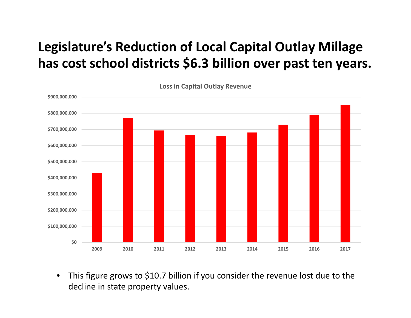### **Legislature's Reduction of Local Capital Outlay Millage has cost school districts \$6.3 billion over past ten years.**



• This figure grows to \$10.7 billion if you consider the revenue lost due to the decline in state property values.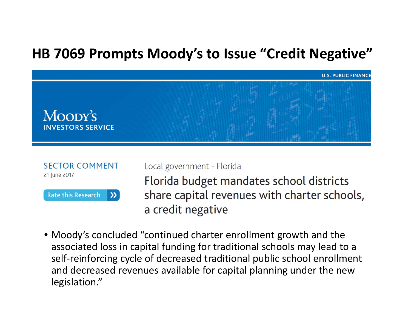### **HB 7069 Prompts Moody's to Issue "Credit Negative"**





Local government - Florida

Florida budget mandates school districts share capital revenues with charter schools, a credit negative

• Moody's concluded "continued charter enrollment growth and the associated loss in capital funding for traditional schools may lead to <sup>a</sup> self‐reinforcing cycle of decreased traditional public school enrollment and decreased revenues available for capital planning under the new legislation."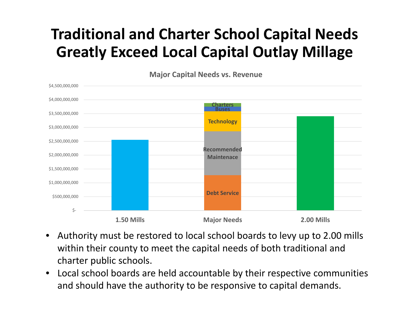# **Traditional and Charter School Capital Needs Greatly Exceed Local Capital Outlay Millage**



**Major Capital Needs vs. Revenue**

- • Authority must be restored to local school boards to levy up to 2.00 mills within their county to meet the capital needs of both traditional and charter public schools.
- • Local school boards are held accountable by their respective communities and should have the authority to be responsive to capital demands.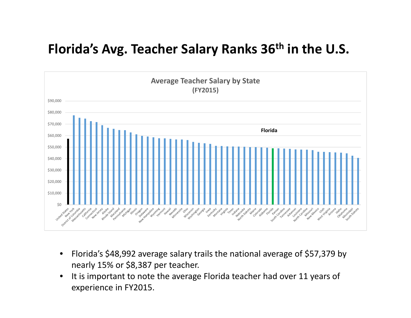### **Florida's Avg. Teacher Salary Ranks 36th in the U.S.**



- $\bullet$  Florida's \$48,992 average salary trails the national average of \$57,379 by nearly 15% or \$8,387 per teacher.
- $\bullet$ • It is important to note the average Florida teacher had over 11 years of experience in FY2015.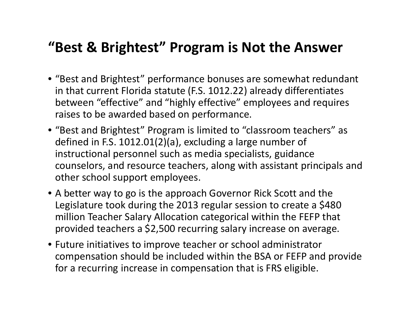### **"Best & Brightest" Program is Not the Answer**

- "Best and Brightest" performance bonuses are somewhat redundant in that current Florida statute (F.S. 1012.22) already differentiates between "effective" and "highly effective" employees and requires raises to be awarded based on performance.
- "Best and Brightest" Program is limited to "classroom teachers" as defined in F.S. 1012.01(2)(a), excluding <sup>a</sup> large number of instructional personnel such as media specialists, guidance counselors, and resource teachers, along with assistant principals and other school support employees.
- A better way to go is the approach Governor Rick Scott and the Legislature took during the 2013 regular session to create <sup>a</sup> \$480 million Teacher Salary Allocation categorical within the FEFP that provided teachers <sup>a</sup> \$2,500 recurring salary increase on average.
- Future initiatives to improve teacher or school administrator compensation should be included within the BSA or FEFP and provide for a recurring increase in compensation that is FRS eligible.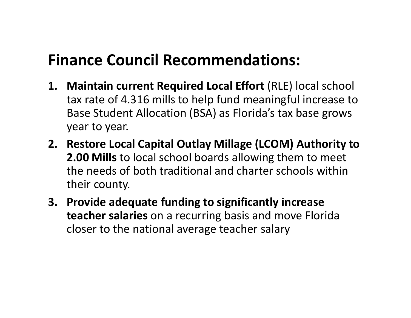## **Finance Council Recommendations:**

- **1. Maintain current Required Local Effort** (RLE) local school tax rate of 4.316 mills to help fund meaningful increase to Base Student Allocation (BSA) as Florida's tax base grows year to year.
- **2. Restore Local Capital Outlay Millage (LCOM) Authority to 2.00 Mills** to local school boards allowing them to meet the needs of both traditional and charter schools within their county.
- **3. Provide adequate funding to significantly increase teacher salaries** on <sup>a</sup> recurring basis and move Florida closer to the national average teacher salary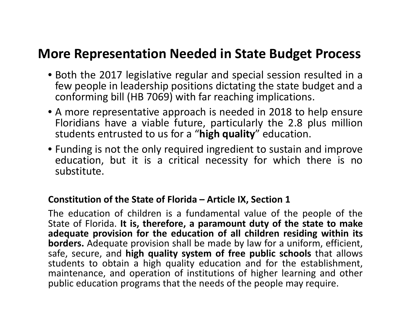#### **More Representation Needed in State Budget Process**

- Both the 2017 legislative regular and special session resulted in <sup>a</sup> few people in leadership positions dictating the state budget and <sup>a</sup> conforming bill (HB 7069) with far reaching implications.
- A more representative approach is needed in 2018 to help ensure Floridians have <sup>a</sup> viable future, particularly the 2.8 plus million students entrusted to us for <sup>a</sup> "**high quality**" education.
- Funding is not the only required ingredient to sustain and improve education, but it is <sup>a</sup> critical necessity for which there is no substitute.

#### **Constitution of the State of Florida – Article IX, Section 1**

The education of children is <sup>a</sup> fundamental value of the people of the State of Florida. **It is, therefore, <sup>a</sup> paramount duty of the state to make adequate provision for the education of all children residing within its borders.** Adequate provision shall be made by law for <sup>a</sup> uniform, efficient, safe, secure, and **high quality system of free public schools** that allows students to obtain <sup>a</sup> high quality education and for the establishment, maintenance, and operation of institutions of higher learning and other public education programs that the needs of the people may require.